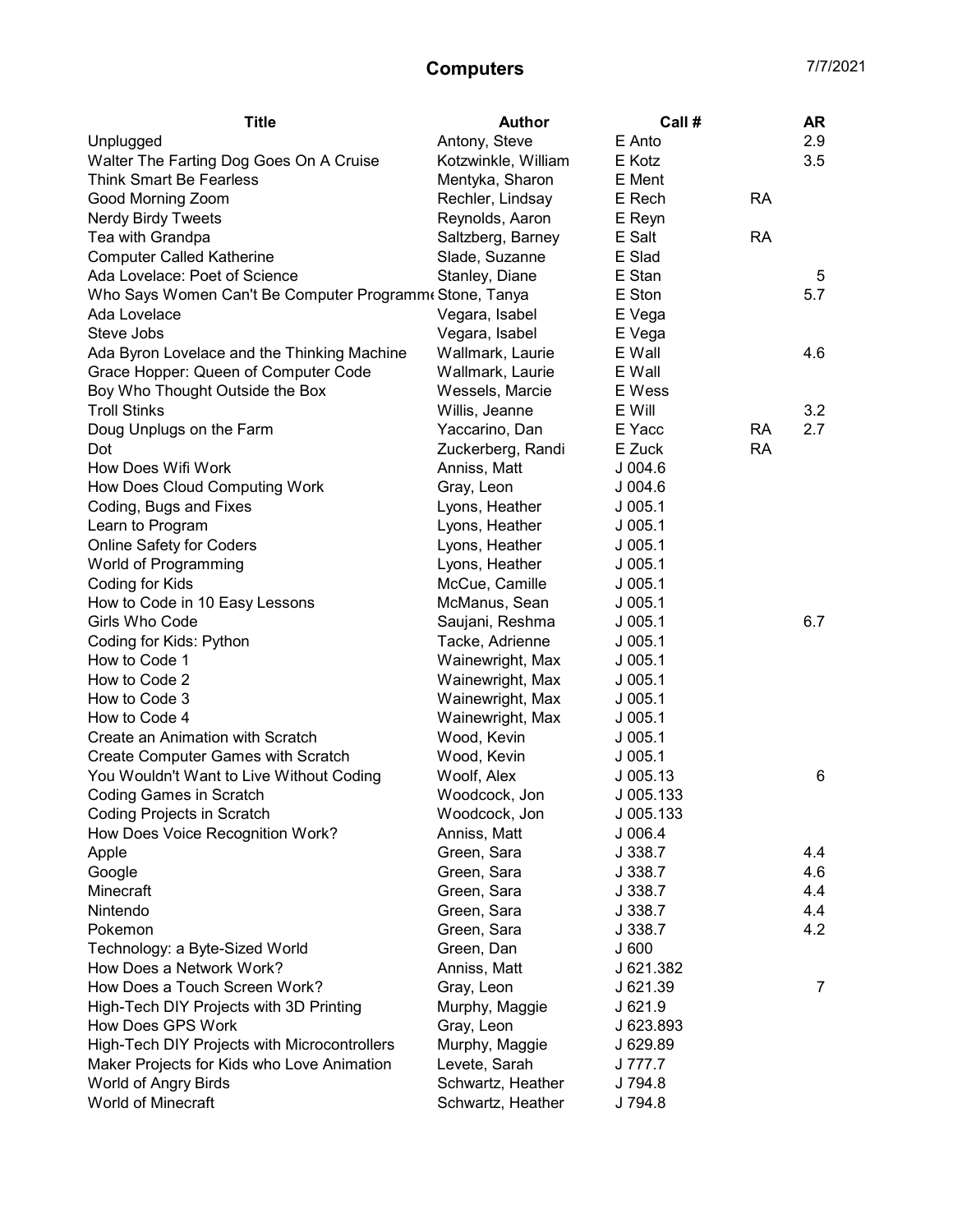## Computers 7/7/2021

| <b>Title</b>                                            | <b>Author</b>       | Call#      |           | AR  |
|---------------------------------------------------------|---------------------|------------|-----------|-----|
| Unplugged                                               | Antony, Steve       | E Anto     |           | 2.9 |
| Walter The Farting Dog Goes On A Cruise                 | Kotzwinkle, William | E Kotz     |           | 3.5 |
| <b>Think Smart Be Fearless</b>                          | Mentyka, Sharon     | E Ment     |           |     |
| Good Morning Zoom                                       | Rechler, Lindsay    | E Rech     | <b>RA</b> |     |
| <b>Nerdy Birdy Tweets</b>                               | Reynolds, Aaron     | E Reyn     |           |     |
| Tea with Grandpa                                        | Saltzberg, Barney   | E Salt     | <b>RA</b> |     |
| <b>Computer Called Katherine</b>                        | Slade, Suzanne      | E Slad     |           |     |
| Ada Lovelace: Poet of Science                           | Stanley, Diane      | E Stan     |           | 5   |
| Who Says Women Can't Be Computer Programm eStone, Tanya |                     | E Ston     |           | 5.7 |
| Ada Lovelace                                            | Vegara, Isabel      | E Vega     |           |     |
| Steve Jobs                                              | Vegara, Isabel      | E Vega     |           |     |
| Ada Byron Lovelace and the Thinking Machine             | Wallmark, Laurie    | E Wall     |           | 4.6 |
| Grace Hopper: Queen of Computer Code                    | Wallmark, Laurie    | E Wall     |           |     |
| Boy Who Thought Outside the Box                         | Wessels, Marcie     | E Wess     |           |     |
| <b>Troll Stinks</b>                                     | Willis, Jeanne      | E Will     |           | 3.2 |
| Doug Unplugs on the Farm                                | Yaccarino, Dan      | E Yacc     | RA        | 2.7 |
| Dot                                                     | Zuckerberg, Randi   | E Zuck     | RA        |     |
| How Does Wifi Work                                      | Anniss, Matt        | $J$ 004.6  |           |     |
| How Does Cloud Computing Work                           | Gray, Leon          | J 004.6    |           |     |
| Coding, Bugs and Fixes                                  | Lyons, Heather      | $J$ 005.1  |           |     |
| Learn to Program                                        | Lyons, Heather      | $J$ 005.1  |           |     |
| <b>Online Safety for Coders</b>                         | Lyons, Heather      | $J$ 005.1  |           |     |
| World of Programming                                    | Lyons, Heather      | $J$ 005.1  |           |     |
| Coding for Kids                                         | McCue, Camille      | $J$ 005.1  |           |     |
| How to Code in 10 Easy Lessons                          | McManus, Sean       | $J$ 005.1  |           |     |
| Girls Who Code                                          | Saujani, Reshma     | $J$ 005.1  |           | 6.7 |
| Coding for Kids: Python                                 | Tacke, Adrienne     | $J$ 005.1  |           |     |
| How to Code 1                                           | Wainewright, Max    | $J$ 005.1  |           |     |
| How to Code 2                                           | Wainewright, Max    | $J$ 005.1  |           |     |
| How to Code 3                                           | Wainewright, Max    | $J$ 005.1  |           |     |
| How to Code 4                                           | Wainewright, Max    | $J$ 005.1  |           |     |
| Create an Animation with Scratch                        | Wood, Kevin         | $J$ 005.1  |           |     |
| Create Computer Games with Scratch                      | Wood, Kevin         | $J$ 005.1  |           |     |
| You Wouldn't Want to Live Without Coding                | Woolf, Alex         | $J$ 005.13 |           | 6   |
| <b>Coding Games in Scratch</b>                          | Woodcock, Jon       | J 005.133  |           |     |
| Coding Projects in Scratch                              | Woodcock, Jon       | J 005.133  |           |     |
| How Does Voice Recognition Work?                        | Anniss, Matt        | J006.4     |           |     |
| Apple                                                   | Green, Sara         | J 338.7    |           | 4.4 |
| Google                                                  | Green, Sara         | J 338.7    |           | 4.6 |
| Minecraft                                               | Green, Sara         | J 338.7    |           | 4.4 |
| Nintendo                                                | Green, Sara         | J 338.7    |           | 4.4 |
| Pokemon                                                 | Green, Sara         | J 338.7    |           | 4.2 |
| Technology: a Byte-Sized World                          | Green, Dan          | J600       |           |     |
| How Does a Network Work?                                | Anniss, Matt        | J 621.382  |           |     |
| How Does a Touch Screen Work?                           | Gray, Leon          | J 621.39   |           | 7   |
| High-Tech DIY Projects with 3D Printing                 | Murphy, Maggie      | J 621.9    |           |     |
| How Does GPS Work                                       | Gray, Leon          | J 623.893  |           |     |
| High-Tech DIY Projects with Microcontrollers            | Murphy, Maggie      | J 629.89   |           |     |
| Maker Projects for Kids who Love Animation              | Levete, Sarah       | J 777.7    |           |     |
| World of Angry Birds                                    | Schwartz, Heather   | J 794.8    |           |     |
| World of Minecraft                                      | Schwartz, Heather   | J 794.8    |           |     |